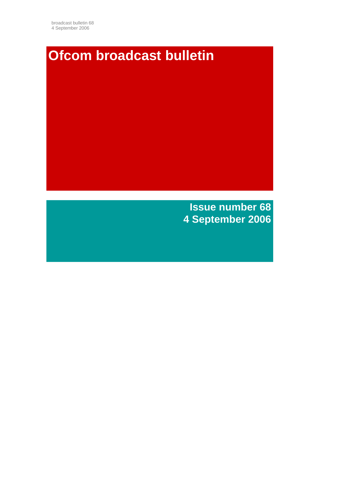# **Ofcom broadcast bulletin**

**Issue number 68 4 September 2006**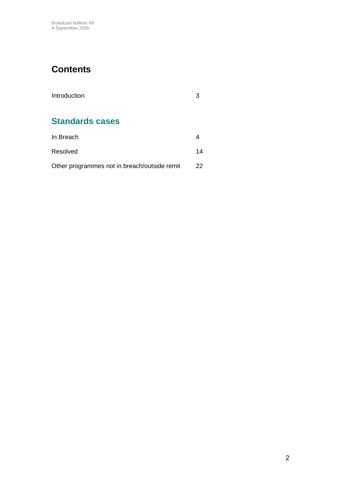## **Contents**

| Introduction                                 |    |
|----------------------------------------------|----|
| <b>Standards cases</b>                       |    |
| In Breach                                    |    |
| Resolved                                     | 14 |
| Other programmes not in breach/outside remit | 22 |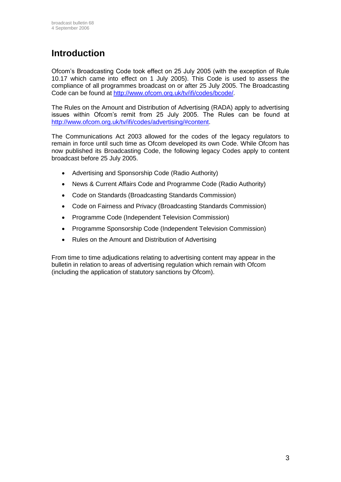## **Introduction**

Ofcom's Broadcasting Code took effect on 25 July 2005 (with the exception of Rule 10.17 which came into effect on 1 July 2005). This Code is used to assess the compliance of all programmes broadcast on or after 25 July 2005. The Broadcasting Code can be found at [http://www.ofcom.org.uk/tv/ifi/codes/bcode/.](http://www.ofcom.org.uk/tv/ifi/codes/bcode/)

The Rules on the Amount and Distribution of Advertising (RADA) apply to advertising issues within Ofcom's remit from 25 July 2005. The Rules can be found at [http://www.ofcom.org.uk/tv/ifi/codes/advertising/#content.](http://www.ofcom.org.uk/tv/ifi/codes/advertising/#content)

The Communications Act 2003 allowed for the codes of the legacy regulators to remain in force until such time as Ofcom developed its own Code. While Ofcom has now published its Broadcasting Code, the following legacy Codes apply to content broadcast before 25 July 2005.

- Advertising and Sponsorship Code (Radio Authority)
- News & Current Affairs Code and Programme Code (Radio Authority)
- Code on Standards (Broadcasting Standards Commission)
- Code on Fairness and Privacy (Broadcasting Standards Commission)
- Programme Code (Independent Television Commission)
- Programme Sponsorship Code (Independent Television Commission)
- Rules on the Amount and Distribution of Advertising

From time to time adjudications relating to advertising content may appear in the bulletin in relation to areas of advertising regulation which remain with Ofcom (including the application of statutory sanctions by Ofcom).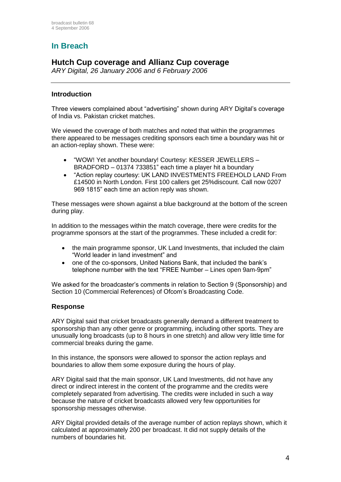## **In Breach**

### **Hutch Cup coverage and Allianz Cup coverage**

*ARY Digital, 26 January 2006 and 6 February 2006*

#### **Introduction**

Three viewers complained about "advertising" shown during ARY Digital's coverage of India vs. Pakistan cricket matches.

We viewed the coverage of both matches and noted that within the programmes there appeared to be messages crediting sponsors each time a boundary was hit or an action-replay shown. These were:

- "WOW! Yet another boundary! Courtesy: KESSER JEWELLERS BRADFORD – 01374 733851" each time a player hit a boundary
- "Action replay courtesy: UK LAND INVESTMENTS FREEHOLD LAND From £14500 in North London. First 100 callers get 25%discount. Call now 0207 969 1815" each time an action reply was shown.

These messages were shown against a blue background at the bottom of the screen during play.

In addition to the messages within the match coverage, there were credits for the programme sponsors at the start of the programmes. These included a credit for:

- the main programme sponsor, UK Land Investments, that included the claim "World leader in land investment" and
- one of the co-sponsors, United Nations Bank, that included the bank's telephone number with the text "FREE Number – Lines open 9am-9pm"

We asked for the broadcaster's comments in relation to Section 9 (Sponsorship) and Section 10 (Commercial References) of Ofcom's Broadcasting Code.

#### **Response**

ARY Digital said that cricket broadcasts generally demand a different treatment to sponsorship than any other genre or programming, including other sports. They are unusually long broadcasts (up to 8 hours in one stretch) and allow very little time for commercial breaks during the game.

In this instance, the sponsors were allowed to sponsor the action replays and boundaries to allow them some exposure during the hours of play.

ARY Digital said that the main sponsor, UK Land Investments, did not have any direct or indirect interest in the content of the programme and the credits were completely separated from advertising. The credits were included in such a way because the nature of cricket broadcasts allowed very few opportunities for sponsorship messages otherwise.

ARY Digital provided details of the average number of action replays shown, which it calculated at approximately 200 per broadcast. It did not supply details of the numbers of boundaries hit.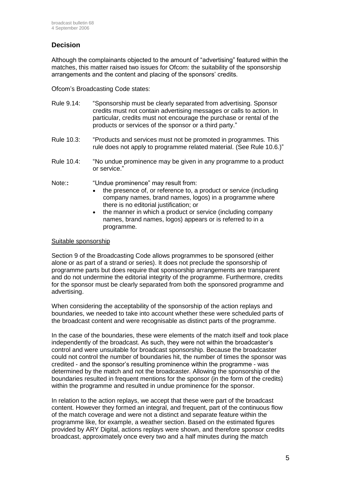#### **Decision**

Although the complainants objected to the amount of "advertising" featured within the matches, this matter raised two issues for Ofcom: the suitability of the sponsorship arrangements and the content and placing of the sponsors' credits.

Ofcom's Broadcasting Code states:

- Rule 9.14: "Sponsorship must be clearly separated from advertising. Sponsor credits must not contain advertising messages or calls to action. In particular, credits must not encourage the purchase or rental of the products or services of the sponsor or a third party."
- Rule 10.3: "Products and services must not be promoted in programmes. This rule does not apply to programme related material. (See Rule 10.6.)"
- Rule 10.4: "No undue prominence may be given in any programme to a product or service."

Note:: "Undue prominence" may result from:

- the presence of, or reference to, a product or service (including company names, brand names, logos) in a programme where there is no editorial justification; or
- the manner in which a product or service (including company names, brand names, logos) appears or is referred to in a programme.

#### Suitable sponsorship

Section 9 of the Broadcasting Code allows programmes to be sponsored (either alone or as part of a strand or series). It does not preclude the sponsorship of programme parts but does require that sponsorship arrangements are transparent and do not undermine the editorial integrity of the programme. Furthermore, credits for the sponsor must be clearly separated from both the sponsored programme and advertising.

When considering the acceptability of the sponsorship of the action replays and boundaries, we needed to take into account whether these were scheduled parts of the broadcast content and were recognisable as distinct parts of the programme.

In the case of the boundaries, these were elements of the match itself and took place independently of the broadcast. As such, they were not within the broadcaster's control and were unsuitable for broadcast sponsorship. Because the broadcaster could not control the number of boundaries hit, the number of times the sponsor was credited - and the sponsor's resulting prominence within the programme - was determined by the match and not the broadcaster. Allowing the sponsorship of the boundaries resulted in frequent mentions for the sponsor (in the form of the credits) within the programme and resulted in undue prominence for the sponsor.

In relation to the action replays, we accept that these were part of the broadcast content. However they formed an integral, and frequent, part of the continuous flow of the match coverage and were not a distinct and separate feature within the programme like, for example, a weather section. Based on the estimated figures provided by ARY Digital, actions replays were shown, and therefore sponsor credits broadcast, approximately once every two and a half minutes during the match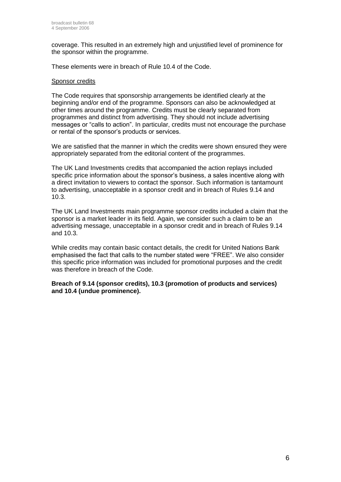coverage. This resulted in an extremely high and unjustified level of prominence for the sponsor within the programme.

These elements were in breach of Rule 10.4 of the Code.

#### Sponsor credits

The Code requires that sponsorship arrangements be identified clearly at the beginning and/or end of the programme. Sponsors can also be acknowledged at other times around the programme. Credits must be clearly separated from programmes and distinct from advertising. They should not include advertising messages or "calls to action". In particular, credits must not encourage the purchase or rental of the sponsor's products or services.

We are satisfied that the manner in which the credits were shown ensured they were appropriately separated from the editorial content of the programmes.

The UK Land Investments credits that accompanied the action replays included specific price information about the sponsor's business, a sales incentive along with a direct invitation to viewers to contact the sponsor. Such information is tantamount to advertising, unacceptable in a sponsor credit and in breach of Rules 9.14 and 10.3.

The UK Land Investments main programme sponsor credits included a claim that the sponsor is a market leader in its field. Again, we consider such a claim to be an advertising message, unacceptable in a sponsor credit and in breach of Rules 9.14 and 10.3.

While credits may contain basic contact details, the credit for United Nations Bank emphasised the fact that calls to the number stated were "FREE". We also consider this specific price information was included for promotional purposes and the credit was therefore in breach of the Code.

**Breach of 9.14 (sponsor credits), 10.3 (promotion of products and services) and 10.4 (undue prominence).**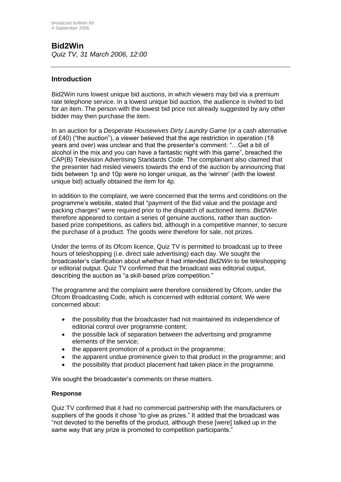### **Bid2Win**

*Quiz TV, 31 March 2006, 12:00*

#### **Introduction**

Bid2Win runs lowest unique bid auctions, in which viewers may bid via a premium rate telephone service. In a lowest unique bid auction, the audience is invited to bid for an item. The person with the lowest bid price not already suggested by any other bidder may then purchase the item.

In an auction for a *Desperate Housewives Dirty Laundry Game* (or a cash alternative of £40) ("the auction"), a viewer believed that the age restriction in operation (18 years and over) was unclear and that the presenter's comment: "…Get a bit of alcohol in the mix and you can have a fantastic night with this game", breached the CAP(B) Television Advertising Standards Code. The complainant also claimed that the presenter had misled viewers towards the end of the auction by announcing that bids between 1p and 10p were no longer unique, as the 'winner' (with the lowest unique bid) actually obtained the item for 4p.

In addition to the complaint, we were concerned that the terms and conditions on the programme's website, stated that "payment of the Bid value and the postage and packing charges" were required prior to the dispatch of auctioned items. *Bid2Win*  therefore appeared to contain a series of genuine auctions, rather than auctionbased prize competitions, as callers bid, although in a competitive manner, to secure the purchase of a product. The goods were therefore for sale, not prizes.

Under the terms of its Ofcom licence, Quiz TV is permitted to broadcast up to three hours of teleshopping (i.e. direct sale advertising) each day. We sought the broadcaster's clarification about whether it had intended *Bid2Win* to be teleshopping or editorial output. Quiz TV confirmed that the broadcast was editorial output, describing the auction as "a skill-based prize competition."

The programme and the complaint were therefore considered by Ofcom, under the Ofcom Broadcasting Code, which is concerned with editorial content. We were concerned about:

- the possibility that the broadcaster had not maintained its independence of editorial control over programme content;
- the possible lack of separation between the advertising and programme elements of the service;
- the apparent promotion of a product in the programme;
- the apparent undue prominence given to that product in the programme; and
- the possibility that product placement had taken place in the programme.

We sought the broadcaster's comments on these matters.

#### **Response**

Quiz TV confirmed that it had no commercial partnership with the manufacturers or suppliers of the goods it chose "to give as prizes." It added that the broadcast was "not devoted to the benefits of the product, although these [were] talked up in the same way that any prize is promoted to competition participants."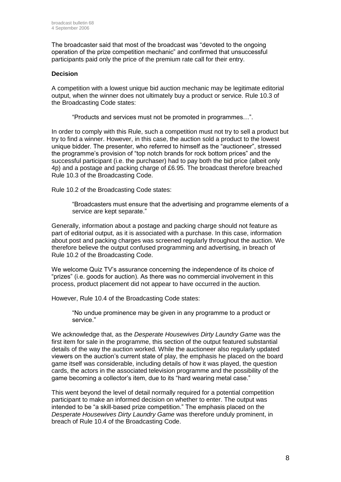The broadcaster said that most of the broadcast was "devoted to the ongoing operation of the prize competition mechanic" and confirmed that unsuccessful participants paid only the price of the premium rate call for their entry.

#### **Decision**

A competition with a lowest unique bid auction mechanic may be legitimate editorial output, when the winner does not ultimately buy a product or service. Rule 10.3 of the Broadcasting Code states:

"Products and services must not be promoted in programmes…".

In order to comply with this Rule, such a competition must not try to sell a product but try to find a winner. However, in this case, the auction sold a product to the lowest unique bidder. The presenter, who referred to himself as the "auctioneer", stressed the programme's provision of "top notch brands for rock bottom prices" and the successful participant (i.e. the purchaser) had to pay both the bid price (albeit only 4p) and a postage and packing charge of £6.95. The broadcast therefore breached Rule 10.3 of the Broadcasting Code.

Rule 10.2 of the Broadcasting Code states:

"Broadcasters must ensure that the advertising and programme elements of a service are kept separate."

Generally, information about a postage and packing charge should not feature as part of editorial output, as it is associated with a purchase. In this case, information about post and packing charges was screened regularly throughout the auction. We therefore believe the output confused programming and advertising, in breach of Rule 10.2 of the Broadcasting Code.

We welcome Quiz TV's assurance concerning the independence of its choice of "prizes" (i.e. goods for auction). As there was no commercial involvement in this process, product placement did not appear to have occurred in the auction.

However, Rule 10.4 of the Broadcasting Code states:

"No undue prominence may be given in any programme to a product or service."

We acknowledge that, as the *Desperate Housewives Dirty Laundry Game* was the first item for sale in the programme, this section of the output featured substantial details of the way the auction worked. While the auctioneer also regularly updated viewers on the auction's current state of play, the emphasis he placed on the board game itself was considerable, including details of how it was played, the question cards, the actors in the associated television programme and the possibility of the game becoming a collector's item, due to its "hard wearing metal case."

This went beyond the level of detail normally required for a potential competition participant to make an informed decision on whether to enter. The output was intended to be "a skill-based prize competition." The emphasis placed on the *Desperate Housewives Dirty Laundry Game* was therefore unduly prominent, in breach of Rule 10.4 of the Broadcasting Code.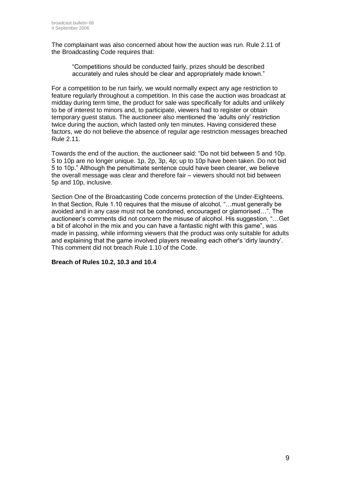The complainant was also concerned about how the auction was run. Rule 2.11 of the Broadcasting Code requires that:

"Competitions should be conducted fairly, prizes should be described accurately and rules should be clear and appropriately made known."

For a competition to be run fairly, we would normally expect any age restriction to feature regularly throughout a competition. In this case the auction was broadcast at midday during term time, the product for sale was specifically for adults and unlikely to be of interest to minors and, to participate, viewers had to register or obtain temporary guest status. The auctioneer also mentioned the 'adults only' restriction twice during the auction, which lasted only ten minutes. Having considered these factors, we do not believe the absence of regular age restriction messages breached Rule 2.11.

Towards the end of the auction, the auctioneer said: "Do not bid between 5 and 10p. 5 to 10p are no longer unique. 1p, 2p, 3p, 4p; up to 10p have been taken. Do not bid 5 to 10p." Although the penultimate sentence could have been clearer, we believe the overall message was clear and therefore fair – viewers should not bid between 5p and 10p, inclusive.

Section One of the Broadcasting Code concerns protection of the Under-Eighteens. In that Section, Rule 1.10 requires that the misuse of alcohol, "…must generally be avoided and in any case must not be condoned, encouraged or glamorised…". The auctioneer's comments did not concern the misuse of alcohol. His suggestion, "…Get a bit of alcohol in the mix and you can have a fantastic night with this game", was made in passing, while informing viewers that the product was only suitable for adults and explaining that the game involved players revealing each other's 'dirty laundry'. This comment did not breach Rule 1.10 of the Code.

**Breach of Rules 10.2, 10.3 and 10.4**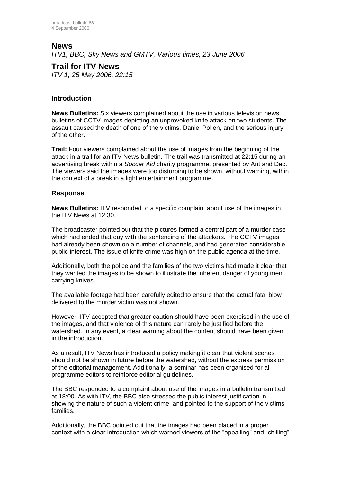#### **News**

*ITV1, BBC, Sky News and GMTV, Various times, 23 June 2006* 

**Trail for ITV News** *ITV 1, 25 May 2006, 22:15*

#### **Introduction**

**News Bulletins:** Six viewers complained about the use in various television news bulletins of CCTV images depicting an unprovoked knife attack on two students. The assault caused the death of one of the victims, Daniel Pollen, and the serious injury of the other.

**Trail:** Four viewers complained about the use of images from the beginning of the attack in a trail for an ITV News bulletin. The trail was transmitted at 22:15 during an advertising break within a *Soccer Aid* charity programme, presented by Ant and Dec. The viewers said the images were too disturbing to be shown, without warning, within the context of a break in a light entertainment programme.

#### **Response**

**News Bulletins:** ITV responded to a specific complaint about use of the images in the ITV News at 12:30.

The broadcaster pointed out that the pictures formed a central part of a murder case which had ended that day with the sentencing of the attackers. The CCTV images had already been shown on a number of channels, and had generated considerable public interest. The issue of knife crime was high on the public agenda at the time.

Additionally, both the police and the families of the two victims had made it clear that they wanted the images to be shown to illustrate the inherent danger of young men carrying knives.

The available footage had been carefully edited to ensure that the actual fatal blow delivered to the murder victim was not shown.

However, ITV accepted that greater caution should have been exercised in the use of the images, and that violence of this nature can rarely be justified before the watershed. In any event, a clear warning about the content should have been given in the introduction.

As a result, ITV News has introduced a policy making it clear that violent scenes should not be shown in future before the watershed, without the express permission of the editorial management. Additionally, a seminar has been organised for all programme editors to reinforce editorial guidelines.

The BBC responded to a complaint about use of the images in a bulletin transmitted at 18:00. As with ITV, the BBC also stressed the public interest justification in showing the nature of such a violent crime, and pointed to the support of the victims' families.

Additionally, the BBC pointed out that the images had been placed in a proper context with a clear introduction which warned viewers of the "appalling" and "chilling"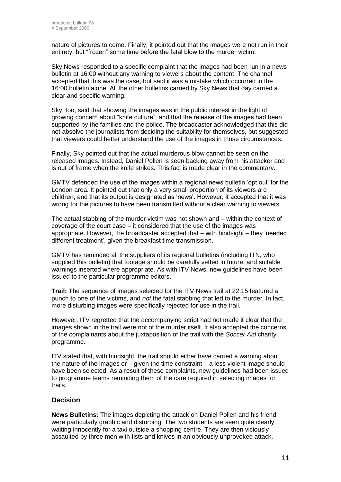nature of pictures to come. Finally, it pointed out that the images were not run in their entirety, but "frozen" some time before the fatal blow to the murder victim.

Sky News responded to a specific complaint that the images had been run in a news bulletin at 16:00 without any warning to viewers about the content. The channel accepted that this was the case, but said it was a mistake which occurred in the 16:00 bulletin alone. All the other bulletins carried by Sky News that day carried a clear and specific warning.

Sky, too, said that showing the images was in the public interest in the light of growing concern about "knife culture"; and that the release of the images had been supported by the families and the police. The broadcaster acknowledged that this did not absolve the journalists from deciding the suitability for themselves, but suggested that viewers could better understand the use of the images in those circumstances.

Finally, Sky pointed out that the actual murderous blow cannot be seen on the released images. Instead, Daniel Pollen is seen backing away from his attacker and is out of frame when the knife strikes. This fact is made clear in the commentary.

GMTV defended the use of the images within a regional news bulletin 'opt out' for the London area. It pointed out that only a very small proportion of its viewers are children, and that its output is designated as 'news'. However, it accepted that it was wrong for the pictures to have been transmitted without a clear warning to viewers.

The actual stabbing of the murder victim was not shown and – within the context of coverage of the court case – it considered that the use of the images was appropriate. However, the broadcaster accepted that – with hindsight – they 'needed different treatment', given the breakfast time transmission.

GMTV has reminded all the suppliers of its regional bulletins (including ITN, who supplied this bulletin) that footage should be carefully vetted in future, and suitable warnings inserted where appropriate. As with ITV News, new guidelines have been issued to the particular programme editors.

**Trail:** The sequence of images selected for the ITV News trail at 22:15 featured a punch to one of the victims, and *not* the fatal stabbing that led to the murder. In fact, more disturbing images were specifically rejected for use in the trail.

However, ITV regretted that the accompanying script had not made it clear that the images shown in the trail were not of the murder itself. It also accepted the concerns of the complainants about the juxtaposition of the trail with the *Soccer Aid* charity programme.

ITV stated that, with hindsight, the trail should either have carried a warning about the nature of the images or  $-$  given the time constraint  $-$  a less violent image should have been selected. As a result of these complaints, new guidelines had been issued to programme teams reminding them of the care required in selecting images for trails.

#### **Decision**

**News Bulletins:** The images depicting the attack on Daniel Pollen and his friend were particularly graphic and disturbing. The two students are seen quite clearly waiting innocently for a taxi outside a shopping centre. They are then viciously assaulted by three men with fists and knives in an obviously unprovoked attack.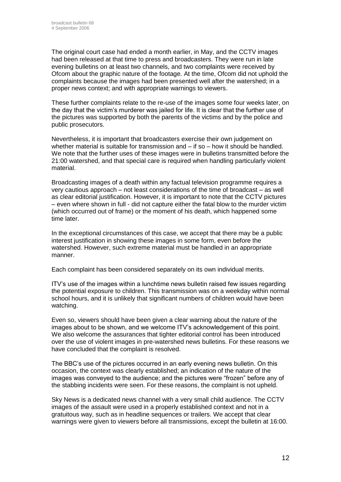The original court case had ended a month earlier, in May, and the CCTV images had been released at that time to press and broadcasters. They were run in late evening bulletins on at least two channels, and two complaints were received by Ofcom about the graphic nature of the footage. At the time, Ofcom did not uphold the complaints because the images had been presented well after the watershed; in a proper news context; and with appropriate warnings to viewers.

These further complaints relate to the re-use of the images some four weeks later, on the day that the victim's murderer was jailed for life. It is clear that the further use of the pictures was supported by both the parents of the victims and by the police and public prosecutors.

Nevertheless, it is important that broadcasters exercise their own judgement on whether material is suitable for transmission and – if so – how it should be handled. We note that the further uses of these images were in bulletins transmitted before the 21:00 watershed, and that special care is required when handling particularly violent material.

Broadcasting images of a death within any factual television programme requires a very cautious approach – not least considerations of the time of broadcast – as well as clear editorial justification. However, it is important to note that the CCTV pictures – even where shown in full - did not capture either the fatal blow to the murder victim (which occurred out of frame) or the moment of his death, which happened some time later.

In the exceptional circumstances of this case, we accept that there may be a public interest justification in showing these images in some form, even before the watershed. However, such extreme material must be handled in an appropriate manner.

Each complaint has been considered separately on its own individual merits.

ITV's use of the images within a lunchtime news bulletin raised few issues regarding the potential exposure to children. This transmission was on a weekday within normal school hours, and it is unlikely that significant numbers of children would have been watching.

Even so, viewers should have been given a clear warning about the nature of the images about to be shown, and we welcome ITV's acknowledgement of this point. We also welcome the assurances that tighter editorial control has been introduced over the use of violent images in pre-watershed news bulletins. For these reasons we have concluded that the complaint is resolved.

The BBC's use of the pictures occurred in an early evening news bulletin. On this occasion, the context was clearly established; an indication of the nature of the images was conveyed to the audience; and the pictures were "frozen" before any of the stabbing incidents were seen. For these reasons, the complaint is not upheld.

Sky News is a dedicated news channel with a very small child audience. The CCTV images of the assault were used in a properly established context and not in a gratuitous way, such as in headline sequences or trailers. We accept that clear warnings were given to viewers before all transmissions, except the bulletin at 16:00.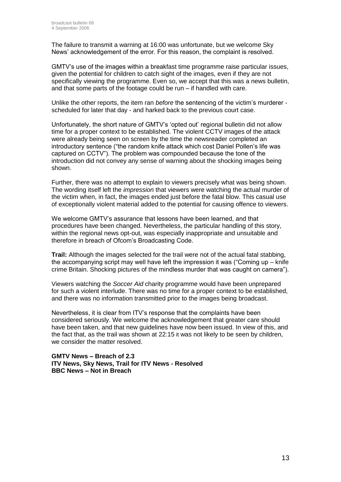The failure to transmit a warning at 16:00 was unfortunate, but we welcome Sky News' acknowledgement of the error. For this reason, the complaint is resolved.

GMTV's use of the images within a breakfast time programme raise particular issues, given the potential for children to catch sight of the images, even if they are not specifically viewing the programme. Even so, we accept that this was a news bulletin, and that some parts of the footage could be run – if handled with care.

Unlike the other reports, the item ran *before* the sentencing of the victim's murderer scheduled for later that day - and harked back to the previous court case.

Unfortunately, the short nature of GMTV's 'opted out' regional bulletin did not allow time for a proper context to be established. The violent CCTV images of the attack were already being seen on screen by the time the newsreader completed an introductory sentence ("the random knife attack which cost Daniel Pollen's life was captured on CCTV"). The problem was compounded because the tone of the introduction did not convey any sense of warning about the shocking images being shown.

Further, there was no attempt to explain to viewers precisely what was being shown. The wording itself left the *impression* that viewers were watching the actual murder of the victim when, in fact, the images ended just before the fatal blow. This casual use of exceptionally violent material added to the potential for causing offence to viewers.

We welcome GMTV's assurance that lessons have been learned, and that procedures have been changed. Nevertheless, the particular handling of this story, within the regional news opt-out, was especially inappropriate and unsuitable and therefore in breach of Ofcom's Broadcasting Code.

**Trail:** Although the images selected for the trail were not of the actual fatal stabbing, the accompanying script may well have left the impression it was ("Coming up – knife crime Britain. Shocking pictures of the mindless murder that was caught on camera").

Viewers watching the *Soccer Aid* charity programme would have been unprepared for such a violent interlude. There was no time for a proper context to be established, and there was no information transmitted prior to the images being broadcast.

Nevertheless, it is clear from ITV's response that the complaints have been considered seriously. We welcome the acknowledgement that greater care should have been taken, and that new guidelines have now been issued. In view of this, and the fact that, as the trail was shown at 22:15 it was not likely to be seen by children, we consider the matter resolved.

**GMTV News – Breach of 2.3 ITV News, Sky News, Trail for ITV News - Resolved BBC News – Not in Breach**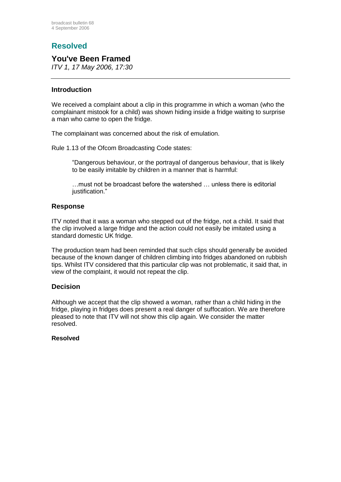## **Resolved**

## **You've Been Framed**

*ITV 1, 17 May 2006, 17:30*

#### **Introduction**

We received a complaint about a clip in this programme in which a woman (who the complainant mistook for a child) was shown hiding inside a fridge waiting to surprise a man who came to open the fridge.

The complainant was concerned about the risk of emulation.

Rule 1.13 of the Ofcom Broadcasting Code states:

"Dangerous behaviour, or the portrayal of dangerous behaviour, that is likely to be easily imitable by children in a manner that is harmful:

…must not be broadcast before the watershed … unless there is editorial iustification."

#### **Response**

ITV noted that it was a woman who stepped out of the fridge, not a child. It said that the clip involved a large fridge and the action could not easily be imitated using a standard domestic UK fridge.

The production team had been reminded that such clips should generally be avoided because of the known danger of children climbing into fridges abandoned on rubbish tips. Whilst ITV considered that this particular clip was not problematic, it said that, in view of the complaint, it would not repeat the clip.

#### **Decision**

Although we accept that the clip showed a woman, rather than a child hiding in the fridge, playing in fridges does present a real danger of suffocation. We are therefore pleased to note that ITV will not show this clip again. We consider the matter resolved.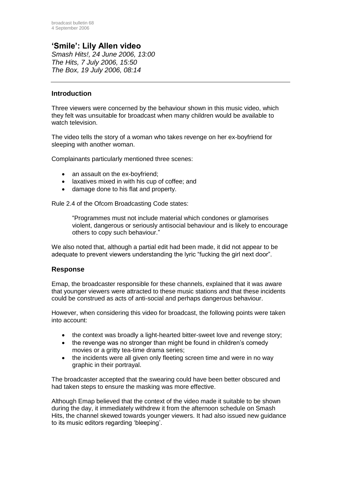#### **'Smile': Lily Allen video**

*Smash Hits!, 24 June 2006, 13:00 The Hits, 7 July 2006, 15:50 The Box, 19 July 2006, 08:14*

#### **Introduction**

Three viewers were concerned by the behaviour shown in this music video, which they felt was unsuitable for broadcast when many children would be available to watch television.

The video tells the story of a woman who takes revenge on her ex-boyfriend for sleeping with another woman.

Complainants particularly mentioned three scenes:

- an assault on the ex-boyfriend;
- laxatives mixed in with his cup of coffee; and
- damage done to his flat and property.

Rule 2.4 of the Ofcom Broadcasting Code states:

"Programmes must not include material which condones or glamorises violent, dangerous or seriously antisocial behaviour and is likely to encourage others to copy such behaviour."

We also noted that, although a partial edit had been made, it did not appear to be adequate to prevent viewers understanding the lyric "fucking the girl next door".

#### **Response**

Emap, the broadcaster responsible for these channels, explained that it was aware that younger viewers were attracted to these music stations and that these incidents could be construed as acts of anti-social and perhaps dangerous behaviour.

However, when considering this video for broadcast, the following points were taken into account:

- the context was broadly a light-hearted bitter-sweet love and revenge story;
- the revenge was no stronger than might be found in children's comedy movies or a gritty tea-time drama series;
- the incidents were all given only fleeting screen time and were in no way graphic in their portrayal.

The broadcaster accepted that the swearing could have been better obscured and had taken steps to ensure the masking was more effective.

Although Emap believed that the context of the video made it suitable to be shown during the day, it immediately withdrew it from the afternoon schedule on Smash Hits, the channel skewed towards younger viewers. It had also issued new guidance to its music editors regarding 'bleeping'.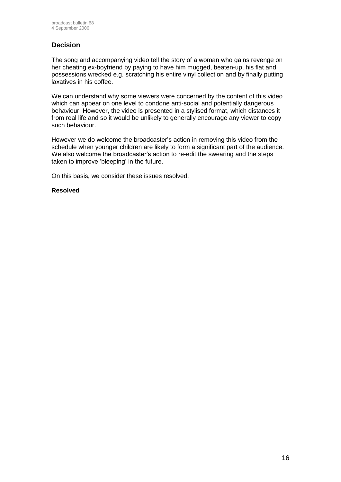#### **Decision**

The song and accompanying video tell the story of a woman who gains revenge on her cheating ex-boyfriend by paying to have him mugged, beaten-up, his flat and possessions wrecked e.g. scratching his entire vinyl collection and by finally putting laxatives in his coffee.

We can understand why some viewers were concerned by the content of this video which can appear on one level to condone anti-social and potentially dangerous behaviour. However, the video is presented in a stylised format, which distances it from real life and so it would be unlikely to generally encourage any viewer to copy such behaviour.

However we do welcome the broadcaster's action in removing this video from the schedule when younger children are likely to form a significant part of the audience. We also welcome the broadcaster's action to re-edit the swearing and the steps taken to improve 'bleeping' in the future.

On this basis, we consider these issues resolved.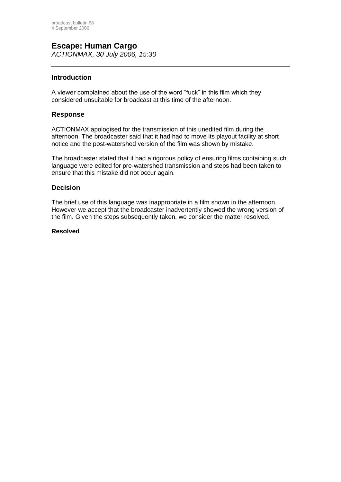**Escape: Human Cargo** *ACTIONMAX, 30 July 2006, 15:30*

#### **Introduction**

A viewer complained about the use of the word "fuck" in this film which they considered unsuitable for broadcast at this time of the afternoon.

#### **Response**

ACTIONMAX apologised for the transmission of this unedited film during the afternoon. The broadcaster said that it had had to move its playout facility at short notice and the post-watershed version of the film was shown by mistake.

The broadcaster stated that it had a rigorous policy of ensuring films containing such language were edited for pre-watershed transmission and steps had been taken to ensure that this mistake did not occur again.

#### **Decision**

The brief use of this language was inappropriate in a film shown in the afternoon. However we accept that the broadcaster inadvertently showed the wrong version of the film. Given the steps subsequently taken, we consider the matter resolved.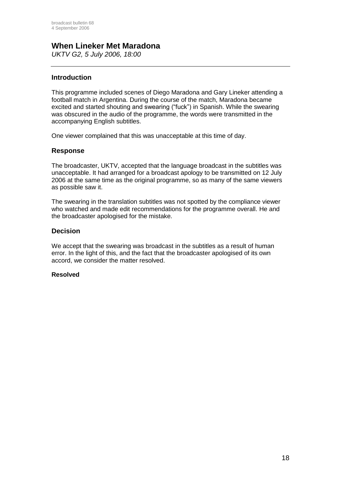## **When Lineker Met Maradona**

*UKTV G2, 5 July 2006, 18:00*

#### **Introduction**

This programme included scenes of Diego Maradona and Gary Lineker attending a football match in Argentina. During the course of the match, Maradona became excited and started shouting and swearing ("fuck") in Spanish. While the swearing was obscured in the audio of the programme, the words were transmitted in the accompanying English subtitles.

One viewer complained that this was unacceptable at this time of day.

#### **Response**

The broadcaster, UKTV, accepted that the language broadcast in the subtitles was unacceptable. It had arranged for a broadcast apology to be transmitted on 12 July 2006 at the same time as the original programme, so as many of the same viewers as possible saw it.

The swearing in the translation subtitles was not spotted by the compliance viewer who watched and made edit recommendations for the programme overall. He and the broadcaster apologised for the mistake.

#### **Decision**

We accept that the swearing was broadcast in the subtitles as a result of human error. In the light of this, and the fact that the broadcaster apologised of its own accord, we consider the matter resolved.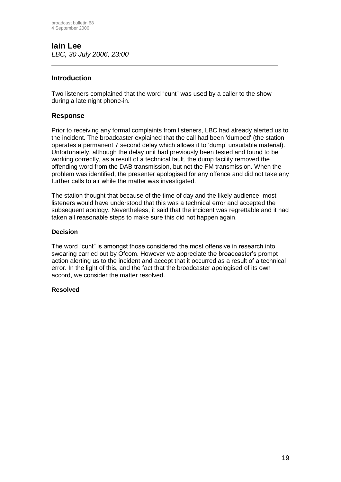**Iain Lee** *LBC, 30 July 2006, 23:00*

#### **Introduction**

Two listeners complained that the word "cunt" was used by a caller to the show during a late night phone-in.

#### **Response**

Prior to receiving any formal complaints from listeners, LBC had already alerted us to the incident. The broadcaster explained that the call had been 'dumped' (the station operates a permanent 7 second delay which allows it to 'dump' unsuitable material). Unfortunately, although the delay unit had previously been tested and found to be working correctly, as a result of a technical fault, the dump facility removed the offending word from the DAB transmission, but not the FM transmission. When the problem was identified, the presenter apologised for any offence and did not take any further calls to air while the matter was investigated.

The station thought that because of the time of day and the likely audience, most listeners would have understood that this was a technical error and accepted the subsequent apology. Nevertheless, it said that the incident was regrettable and it had taken all reasonable steps to make sure this did not happen again.

#### **Decision**

The word "cunt" is amongst those considered the most offensive in research into swearing carried out by Ofcom. However we appreciate the broadcaster's prompt action alerting us to the incident and accept that it occurred as a result of a technical error. In the light of this, and the fact that the broadcaster apologised of its own accord, we consider the matter resolved.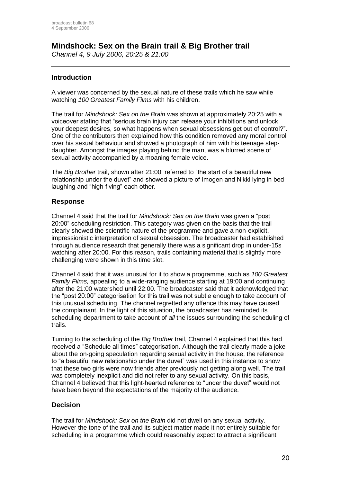### **Mindshock: Sex on the Brain trail & Big Brother trail**

*Channel 4, 9 July 2006, 20:25 & 21:00*

#### **Introduction**

A viewer was concerned by the sexual nature of these trails which he saw while watching *100 Greatest Family Films* with his children.

The trail for *Mindshock: Sex on the Brain* was shown at approximately 20:25 with a voiceover stating that "serious brain injury can release your inhibitions and unlock your deepest desires, so what happens when sexual obsessions get out of control?". One of the contributors then explained how this condition removed any moral control over his sexual behaviour and showed a photograph of him with his teenage stepdaughter. Amongst the images playing behind the man, was a blurred scene of sexual activity accompanied by a moaning female voice.

The *Big Brother* trail, shown after 21:00, referred to "the start of a beautiful new relationship under the duvet" and showed a picture of Imogen and Nikki lying in bed laughing and "high-fiving" each other.

#### **Response**

Channel 4 said that the trail for *Mindshock: Sex on the Brain* was given a "post 20:00" scheduling restriction. This category was given on the basis that the trail clearly showed the scientific nature of the programme and gave a non-explicit, impressionistic interpretation of sexual obsession. The broadcaster had established through audience research that generally there was a significant drop in under-15s watching after 20:00. For this reason, trails containing material that is slightly more challenging were shown in this time slot.

Channel 4 said that it was unusual for it to show a programme, such as *100 Greatest Family Films,* appealing to a wide-ranging audience starting at 19:00 and continuing after the 21:00 watershed until 22:00. The broadcaster said that it acknowledged that the "post 20:00" categorisation for this trail was not subtle enough to take account of this unusual scheduling. The channel regretted any offence this may have caused the complainant. In the light of this situation, the broadcaster has reminded its scheduling department to take account of *all* the issues surrounding the scheduling of trails.

Turning to the scheduling of the *Big Brother* trail, Channel 4 explained that this had received a "Schedule all times" categorisation. Although the trail clearly made a joke about the on-going speculation regarding sexual activity in the house, the reference to "a beautiful new relationship under the duvet" was used in this instance to show that these two girls were now friends after previously not getting along well. The trail was completely inexplicit and did not refer to any sexual activity. On this basis, Channel 4 believed that this light-hearted reference to "under the duvet" would not have been beyond the expectations of the majority of the audience.

#### **Decision**

The trail for *Mindshock: Sex on the Brain* did not dwell on any sexual activity. However the tone of the trail and its subject matter made it not entirely suitable for scheduling in a programme which could reasonably expect to attract a significant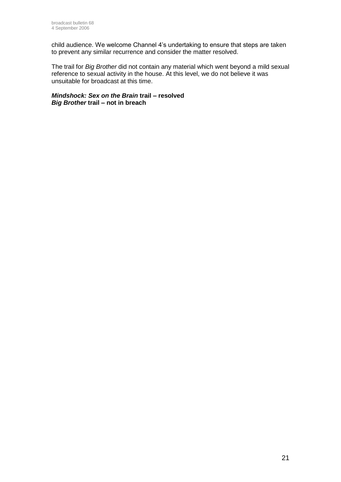child audience. We welcome Channel 4's undertaking to ensure that steps are taken to prevent any similar recurrence and consider the matter resolved.

The trail for *Big Brother* did not contain any material which went beyond a mild sexual reference to sexual activity in the house. At this level, we do not believe it was unsuitable for broadcast at this time.

#### *Mindshock: Sex on the Brain* **trail – resolved** *Big Brother* **trail – not in breach**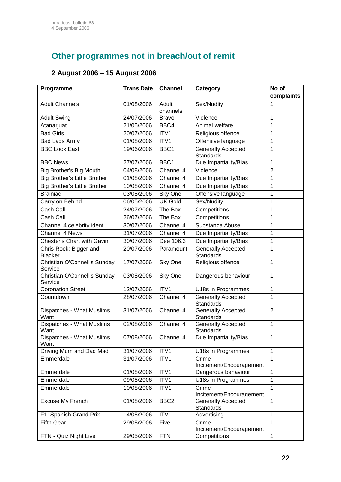## **Other programmes not in breach/out of remit**

### **2 August 2006 – 15 August 2006**

| Programme                                | <b>Trans Date</b> | <b>Channel</b>   | Category                                      | No of          |
|------------------------------------------|-------------------|------------------|-----------------------------------------------|----------------|
|                                          |                   |                  |                                               | complaints     |
| <b>Adult Channels</b>                    | 01/08/2006        | Adult            | Sex/Nudity                                    |                |
|                                          |                   | channels         |                                               |                |
| <b>Adult Swing</b>                       | 24/07/2006        | <b>Bravo</b>     | Violence                                      | 1              |
| Atanarjuat                               | 21/05/2006        | BBC4             | Animal welfare                                | 1              |
| <b>Bad Girls</b>                         | 20/07/2006        | ITV1             | Religious offence                             | 1              |
| <b>Bad Lads Army</b>                     | 01/08/2006        | ITV1             | Offensive language                            | 1              |
| <b>BBC Look East</b>                     | 19/06/2006        | BBC1             | <b>Generally Accepted</b><br>Standards        | 1              |
| <b>BBC News</b>                          | 27/07/2006        | BBC1             | Due Impartiality/Bias                         | 1              |
| Big Brother's Big Mouth                  | 04/08/2006        | Channel 4        | Violence                                      | $\overline{2}$ |
| <b>Big Brother's Little Brother</b>      | 01/08/2006        | Channel 4        | Due Impartiality/Bias                         | 1              |
| <b>Big Brother's Little Brother</b>      | 10/08/2006        | Channel 4        | Due Impartiality/Bias                         | 1              |
| <b>Brainiac</b>                          | 03/08/2006        | Sky One          | Offensive language                            | 1              |
| Carry on Behind                          | 06/05/2006        | <b>UK Gold</b>   | Sex/Nudity                                    | 1              |
| Cash Call                                | 24/07/2006        | The Box          | Competitions                                  | 1              |
| Cash Call                                | 26/07/2006        | The Box          | Competitions                                  | 1              |
| Channel 4 celebrity ident                | 30/07/2006        | Channel 4        | Substance Abuse                               | 1              |
| <b>Channel 4 News</b>                    | 31/07/2006        | Channel 4        | Due Impartiality/Bias                         | 1              |
| Chester's Chart with Gavin               | 30/07/2006        | Dee 106.3        | Due Impartiality/Bias                         | 1              |
| Chris Rock: Bigger and<br><b>Blacker</b> | 20/07/2006        | Paramount        | <b>Generally Accepted</b><br>Standards        | 1              |
| Christian O'Connell's Sunday<br>Service  | 17/07/2006        | Sky One          | Religious offence                             | 1              |
| Christian O'Connell's Sunday<br>Service  | 03/08/2006        | Sky One          | Dangerous behaviour                           | 1              |
| <b>Coronation Street</b>                 | 12/07/2006        | ITV1             | U18s in Programmes                            | 1              |
| Countdown                                | 28/07/2006        | Channel 4        | <b>Generally Accepted</b><br>Standards        | 1              |
| <b>Dispatches - What Muslims</b><br>Want | 31/07/2006        | Channel 4        | <b>Generally Accepted</b><br>Standards        | $\overline{2}$ |
| Dispatches - What Muslims<br>Want        | 02/08/2006        | Channel 4        | <b>Generally Accepted</b><br>Standards        | 1              |
| Dispatches - What Muslims<br>Want        | 07/08/2006        | Channel 4        | Due Impartiality/Bias                         | 1              |
| Driving Mum and Dad Mad                  | 31/07/2006        | ITV1             | U18s in Programmes                            | 1              |
| Emmerdale                                | 31/07/2006        | ITV1             | Crime<br>Incitement/Encouragement             | 1              |
| Emmerdale                                | 01/08/2006        | ITVI             | Dangerous behaviour                           | 1              |
| Emmerdale                                | 09/08/2006        | ITV1             | U18s in Programmes                            | 1              |
| Emmerdale                                | 10/08/2006        | ITV1             | Crime<br>Incitement/Encouragement             | 1              |
| <b>Excuse My French</b>                  | 01/08/2006        | BBC <sub>2</sub> | <b>Generally Accepted</b><br><b>Standards</b> | 1              |
| F1: Spanish Grand Prix                   | 14/05/2006        | ITV1             | Advertising                                   | 1              |
| <b>Fifth Gear</b>                        | 29/05/2006        | Five             | Crime<br>Incitement/Encouragement             | 1              |
| FTN - Quiz Night Live                    | 29/05/2006        | <b>FTN</b>       | Competitions                                  | 1              |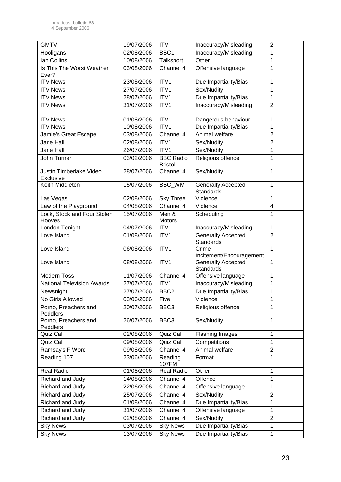| <b>GMTV</b>                       | 19/07/2006 | <b>ITV</b>       | Inaccuracy/Misleading                          | $\overline{2}$ |
|-----------------------------------|------------|------------------|------------------------------------------------|----------------|
| Hooligans                         | 02/08/2006 | BBC1             | Inaccuracy/Misleading                          | 1              |
| lan Collins                       | 10/08/2006 | Talksport        | Other                                          | 1              |
| Is This The Worst Weather         | 03/08/2006 | Channel 4        | Offensive language                             | 1              |
| Ever?                             |            |                  |                                                |                |
| <b>ITV News</b>                   | 23/05/2006 | ITV1             | Due Impartiality/Bias                          | 1              |
| <b>ITV News</b>                   | 27/07/2006 | ITV1             | Sex/Nudity                                     | 1              |
| <b>ITV News</b>                   | 28/07/2006 | ITV1             | Due Impartiality/Bias                          | 1              |
| <b>ITV News</b>                   | 31/07/2006 | ITV1             | Inaccuracy/Misleading                          | $\overline{2}$ |
|                                   |            |                  |                                                |                |
| <b>ITV News</b>                   | 01/08/2006 | ITV1             | Dangerous behaviour                            | 1              |
| <b>ITV News</b>                   | 10/08/2006 | ITV1             | Due Impartiality/Bias                          | $\mathbf{1}$   |
| Jamie's Great Escape              | 03/08/2006 | Channel 4        | Animal welfare                                 | $\overline{2}$ |
| Jane Hall                         | 02/08/2006 | ITV1             | Sex/Nudity                                     | $\overline{2}$ |
| Jane Hall                         | 26/07/2006 | ITV1             | Sex/Nudity                                     | 1              |
| John Turner                       | 03/02/2006 | <b>BBC Radio</b> | Religious offence                              | 1              |
|                                   |            | <b>Bristol</b>   |                                                |                |
| Justin Timberlake Video           | 28/07/2006 | Channel 4        | Sex/Nudity                                     | 1              |
| Exclusive                         |            |                  |                                                |                |
| Keith Middleton                   | 15/07/2006 | BBC_WM           | <b>Generally Accepted</b><br>Standards         | 1              |
| Las Vegas                         | 02/08/2006 | <b>Sky Three</b> | Violence                                       | 1              |
| Law of the Playground             | 04/08/2006 | Channel 4        | Violence                                       | 4              |
| Lock, Stock and Four Stolen       | 15/07/2006 | Men &            | Scheduling                                     | 1              |
| Hooves                            |            | Motors           |                                                |                |
| London Tonight                    | 04/07/2006 | ITV1             | Inaccuracy/Misleading                          | 1              |
| Love Island                       | 01/08/2006 | ITV1             | <b>Generally Accepted</b>                      | $\overline{2}$ |
|                                   |            |                  | Standards                                      |                |
| Love Island                       | 06/08/2006 | ITV1             | Crime                                          | 1              |
| Love Island                       | 08/08/2006 | ITVI             | Incitement/Encouragement<br>Generally Accepted | 1              |
|                                   |            |                  | Standards                                      |                |
| Modern Toss                       | 11/07/2006 | Channel 4        | Offensive language                             | 1              |
| <b>National Television Awards</b> | 27/07/2006 | ITV1             | Inaccuracy/Misleading                          | 1              |
| Newsnight                         | 27/07/2006 | BBC <sub>2</sub> | Due Impartiality/Bias                          | 1              |
| No Girls Allowed                  | 03/06/2006 | Five             | Violence                                       | 1              |
| Porno, Preachers and              | 20/07/2006 | BBC <sub>3</sub> | Religious offence                              | 1              |
| Peddlers                          |            |                  |                                                |                |
| Porno, Preachers and              | 26/07/2006 | BBC <sub>3</sub> | Sex/Nudity                                     | 1              |
| Peddlers                          |            |                  |                                                |                |
| Quiz Call                         | 02/08/2006 | Quiz Call        | <b>Flashing Images</b>                         | 1              |
| Quiz Call                         | 09/08/2006 | Quiz Call        | Competitions                                   | 1              |
| Ramsay's F Word                   | 09/08/2006 | Channel 4        | Animal welfare                                 | $\overline{c}$ |
| Reading 107                       | 23/06/2006 | Reading          | Format                                         | 1              |
|                                   |            | <b>107FM</b>     |                                                |                |
| Real Radio                        | 01/08/2006 | Real Radio       | Other                                          | 1              |
| Richard and Judy                  | 14/08/2006 | Channel 4        | Offence                                        | 1              |
| Richard and Judy                  | 22/06/2006 | Channel 4        | Offensive language                             | 1              |
| Richard and Judy                  | 25/07/2006 | Channel 4        | Sex/Nudity                                     | $\overline{2}$ |
| Richard and Judy                  | 01/08/2006 | Channel 4        | Due Impartiality/Bias                          | 1              |
| Richard and Judy                  | 31/07/2006 | Channel 4        | Offensive language                             | 1              |
| Richard and Judy                  | 02/08/2006 | Channel 4        | Sex/Nudity                                     | $\overline{c}$ |
| <b>Sky News</b>                   | 03/07/2006 | <b>Sky News</b>  | Due Impartiality/Bias                          | 1              |
| <b>Sky News</b>                   | 13/07/2006 | <b>Sky News</b>  | Due Impartiality/Bias                          | 1              |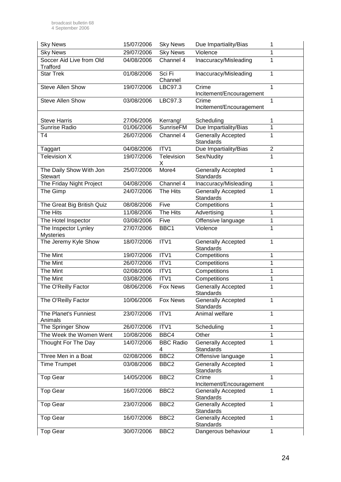| <b>Sky News</b>                           | 15/07/2006 | <b>Sky News</b>       | Due Impartiality/Bias                         | 1              |
|-------------------------------------------|------------|-----------------------|-----------------------------------------------|----------------|
| <b>Sky News</b>                           | 29/07/2006 | <b>Sky News</b>       | Violence                                      | 1              |
| Soccer Aid Live from Old<br>Trafford      | 04/08/2006 | Channel 4             | Inaccuracy/Misleading                         | 1              |
| <b>Star Trek</b>                          | 01/08/2006 | Sci Fi<br>Channel     | Inaccuracy/Misleading                         | 1              |
| <b>Steve Allen Show</b>                   | 19/07/2006 | LBC97.3               | Crime<br>Incitement/Encouragement             | 1              |
| <b>Steve Allen Show</b>                   | 03/08/2006 | LBC97.3               | Crime<br>Incitement/Encouragement             | 1              |
| <b>Steve Harris</b>                       | 27/06/2006 | Kerrang!              | Scheduling                                    | 1              |
| <b>Sunrise Radio</b>                      | 01/06/2006 | <b>SunriseFM</b>      | Due Impartiality/Bias                         | 1              |
| T <sub>4</sub>                            | 26/07/2006 | Channel 4             | <b>Generally Accepted</b><br>Standards        | 1              |
| Taggart                                   | 04/08/2006 | ITV1                  | Due Impartiality/Bias                         | $\overline{2}$ |
| <b>Television X</b>                       | 19/07/2006 | Television<br>X       | Sex/Nudity                                    | 1              |
| The Daily Show With Jon<br><b>Stewart</b> | 25/07/2006 | More4                 | <b>Generally Accepted</b><br><b>Standards</b> | 1              |
| The Friday Night Project                  | 04/08/2006 | Channel 4             | Inaccuracy/Misleading                         | 1              |
| The Gimp                                  | 24/07/2006 | The Hits              | Generally Accepted<br><b>Standards</b>        | 1              |
| The Great Big British Quiz                | 08/08/2006 | Five                  | Competitions                                  | 1              |
| The Hits                                  | 11/08/2006 | The Hits              | Advertising                                   | 1              |
| The Hotel Inspector                       | 03/08/2006 | Five                  | Offensive language                            | 1              |
| The Inspector Lynley<br><b>Mysteries</b>  | 27/07/2006 | BBC1                  | Violence                                      | 1              |
| The Jeremy Kyle Show                      | 18/07/2006 | ITV1                  | <b>Generally Accepted</b><br>Standards        | 1              |
| The Mint                                  | 19/07/2006 | ITV1                  | Competitions                                  | 1              |
| The Mint                                  | 26/07/2006 | ITV1                  | Competitions                                  | 1              |
| The Mint                                  | 02/08/2006 | ITV1                  | Competitions                                  | 1              |
| The Mint                                  | 03/08/2006 | ITV1                  | Competitions                                  | 1              |
| The O'Reilly Factor                       | 08/06/2006 | Fox News              | <b>Generally Accepted</b><br>Standards        | 1              |
| The O'Reilly Factor                       | 10/06/2006 | <b>Fox News</b>       | <b>Generally Accepted</b><br>Standards        | 1              |
| The Planet's Funniest<br>Animals          | 23/07/2006 | ITV1                  | Animal welfare                                | 1              |
| The Springer Show                         | 26/07/2006 | ITV1                  | Scheduling                                    | 1              |
| The Week the Women Went                   | 10/08/2006 | BBC4                  | Other                                         | 1              |
| Thought For The Day                       | 14/07/2006 | <b>BBC Radio</b><br>4 | <b>Generally Accepted</b><br>Standards        | 1              |
| Three Men in a Boat                       | 02/08/2006 | BBC <sub>2</sub>      | Offensive language                            | 1              |
| <b>Time Trumpet</b>                       | 03/08/2006 | BBC <sub>2</sub>      | <b>Generally Accepted</b><br><b>Standards</b> | 1              |
| <b>Top Gear</b>                           | 14/05/2006 | BBC <sub>2</sub>      | Crime<br>Incitement/Encouragement             | 1              |
| <b>Top Gear</b>                           | 16/07/2006 | BBC <sub>2</sub>      | <b>Generally Accepted</b><br><b>Standards</b> | 1              |
| <b>Top Gear</b>                           | 23/07/2006 | BBC <sub>2</sub>      | Generally Accepted<br>Standards               | 1              |
| <b>Top Gear</b>                           | 16/07/2006 | BBC <sub>2</sub>      | Generally Accepted<br>Standards               | 1              |
| <b>Top Gear</b>                           | 30/07/2006 | BBC <sub>2</sub>      | Dangerous behaviour                           | 1              |